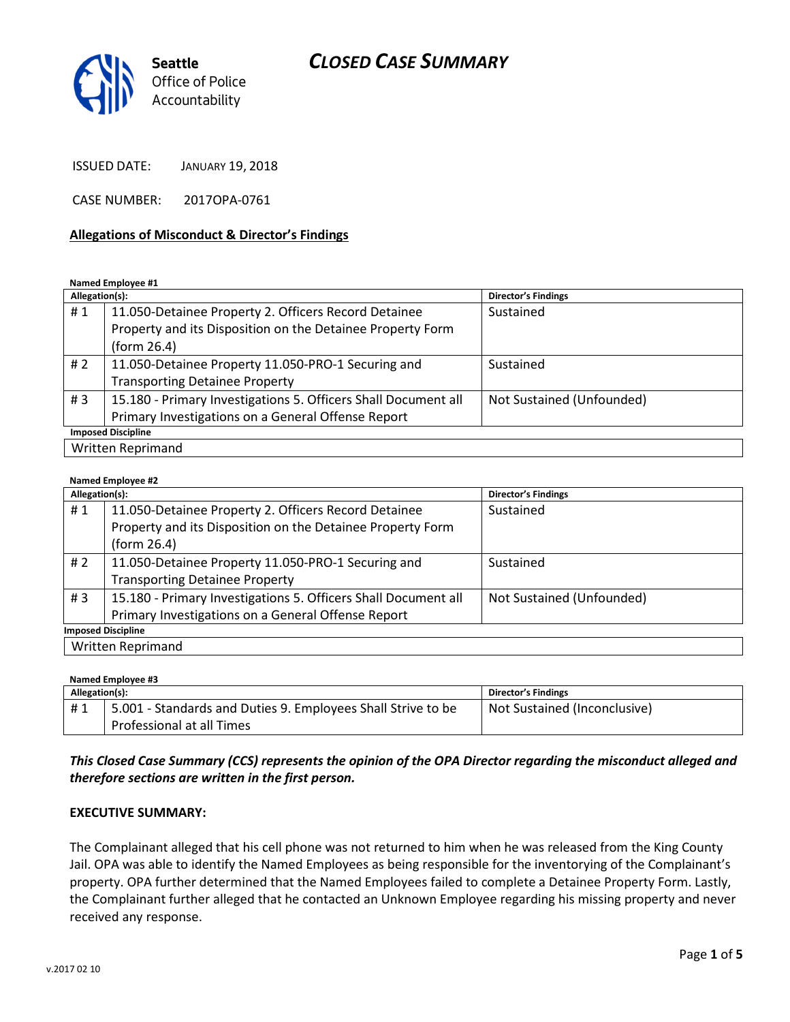

ISSUED DATE: JANUARY 19, 2018

CASE NUMBER: 2017OPA-0761

### Allegations of Misconduct & Director's Findings

Named Employee #1

| Allegation(s):            |                                                                | <b>Director's Findings</b> |  |
|---------------------------|----------------------------------------------------------------|----------------------------|--|
| #1                        | 11.050-Detainee Property 2. Officers Record Detainee           | Sustained                  |  |
|                           | Property and its Disposition on the Detainee Property Form     |                            |  |
|                           | (form 26.4)                                                    |                            |  |
| #2                        | 11.050-Detainee Property 11.050-PRO-1 Securing and             | Sustained                  |  |
|                           | <b>Transporting Detainee Property</b>                          |                            |  |
| #3                        | 15.180 - Primary Investigations 5. Officers Shall Document all | Not Sustained (Unfounded)  |  |
|                           | Primary Investigations on a General Offense Report             |                            |  |
| <b>Imposed Discipline</b> |                                                                |                            |  |
| <b>Written Reprimand</b>  |                                                                |                            |  |

#### Named Employee #2

| Allegation(s):            |                                                                | <b>Director's Findings</b> |  |
|---------------------------|----------------------------------------------------------------|----------------------------|--|
| #1                        | 11.050-Detainee Property 2. Officers Record Detainee           | Sustained                  |  |
|                           | Property and its Disposition on the Detainee Property Form     |                            |  |
|                           | (form 26.4)                                                    |                            |  |
| # 2                       | 11.050-Detainee Property 11.050-PRO-1 Securing and             | Sustained                  |  |
|                           | <b>Transporting Detainee Property</b>                          |                            |  |
| #3                        | 15.180 - Primary Investigations 5. Officers Shall Document all | Not Sustained (Unfounded)  |  |
|                           | Primary Investigations on a General Offense Report             |                            |  |
| <b>Imposed Discipline</b> |                                                                |                            |  |
| <b>Written Reprimand</b>  |                                                                |                            |  |

Named Employee #3

| 1<br>Allegation(s): |                                                              | <b>Director's Findings</b>   |
|---------------------|--------------------------------------------------------------|------------------------------|
| #1                  | 5.001 - Standards and Duties 9. Employees Shall Strive to be | Not Sustained (Inconclusive) |
|                     | Professional at all Times                                    |                              |

### This Closed Case Summary (CCS) represents the opinion of the OPA Director regarding the misconduct alleged and therefore sections are written in the first person.

#### EXECUTIVE SUMMARY:

The Complainant alleged that his cell phone was not returned to him when he was released from the King County Jail. OPA was able to identify the Named Employees as being responsible for the inventorying of the Complainant's property. OPA further determined that the Named Employees failed to complete a Detainee Property Form. Lastly, the Complainant further alleged that he contacted an Unknown Employee regarding his missing property and never received any response.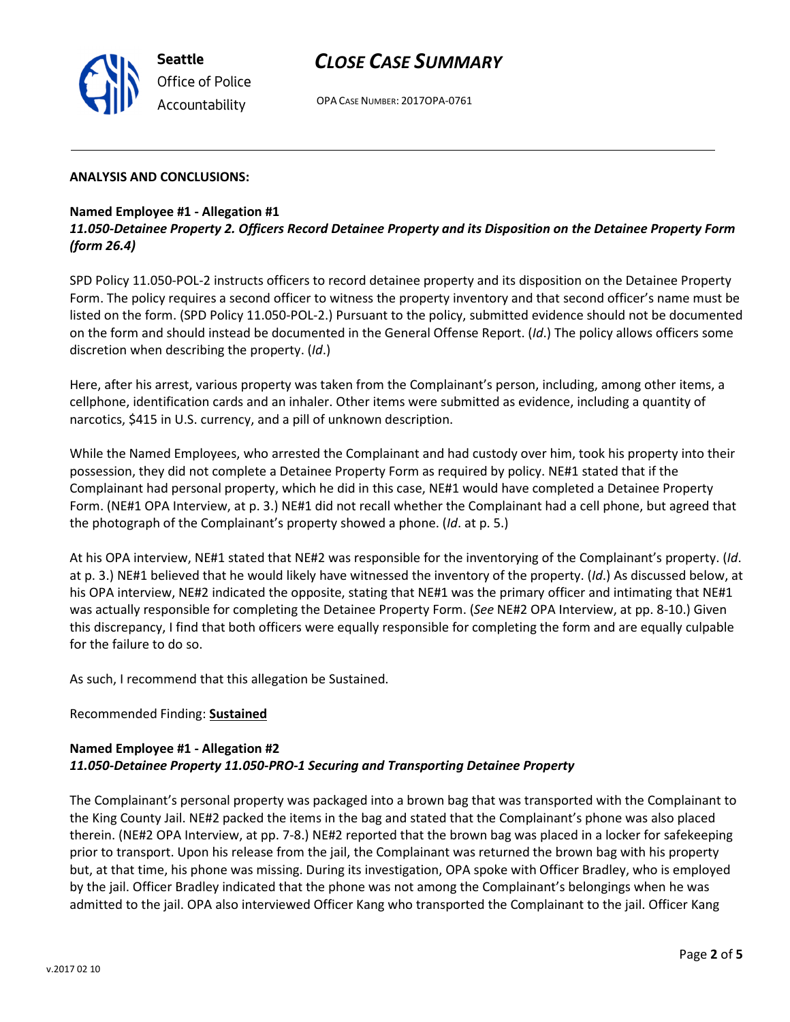OPA CASE NUMBER: 2017OPA-0761

#### ANALYSIS AND CONCLUSIONS:

### Named Employee #1 - Allegation #1

11.050-Detainee Property 2. Officers Record Detainee Property and its Disposition on the Detainee Property Form (form 26.4)

SPD Policy 11.050-POL-2 instructs officers to record detainee property and its disposition on the Detainee Property Form. The policy requires a second officer to witness the property inventory and that second officer's name must be listed on the form. (SPD Policy 11.050-POL-2.) Pursuant to the policy, submitted evidence should not be documented on the form and should instead be documented in the General Offense Report. (Id.) The policy allows officers some discretion when describing the property. (Id.)

Here, after his arrest, various property was taken from the Complainant's person, including, among other items, a cellphone, identification cards and an inhaler. Other items were submitted as evidence, including a quantity of narcotics, \$415 in U.S. currency, and a pill of unknown description.

While the Named Employees, who arrested the Complainant and had custody over him, took his property into their possession, they did not complete a Detainee Property Form as required by policy. NE#1 stated that if the Complainant had personal property, which he did in this case, NE#1 would have completed a Detainee Property Form. (NE#1 OPA Interview, at p. 3.) NE#1 did not recall whether the Complainant had a cell phone, but agreed that the photograph of the Complainant's property showed a phone. (Id. at p. 5.)

At his OPA interview, NE#1 stated that NE#2 was responsible for the inventorying of the Complainant's property. (Id. at p. 3.) NE#1 believed that he would likely have witnessed the inventory of the property. (Id.) As discussed below, at his OPA interview, NE#2 indicated the opposite, stating that NE#1 was the primary officer and intimating that NE#1 was actually responsible for completing the Detainee Property Form. (See NE#2 OPA Interview, at pp. 8-10.) Given this discrepancy, I find that both officers were equally responsible for completing the form and are equally culpable for the failure to do so.

As such, I recommend that this allegation be Sustained.

#### Recommended Finding: Sustained

### Named Employee #1 - Allegation #2 11.050-Detainee Property 11.050-PRO-1 Securing and Transporting Detainee Property

The Complainant's personal property was packaged into a brown bag that was transported with the Complainant to the King County Jail. NE#2 packed the items in the bag and stated that the Complainant's phone was also placed therein. (NE#2 OPA Interview, at pp. 7-8.) NE#2 reported that the brown bag was placed in a locker for safekeeping prior to transport. Upon his release from the jail, the Complainant was returned the brown bag with his property but, at that time, his phone was missing. During its investigation, OPA spoke with Officer Bradley, who is employed by the jail. Officer Bradley indicated that the phone was not among the Complainant's belongings when he was admitted to the jail. OPA also interviewed Officer Kang who transported the Complainant to the jail. Officer Kang



Seattle Office of Police Accountability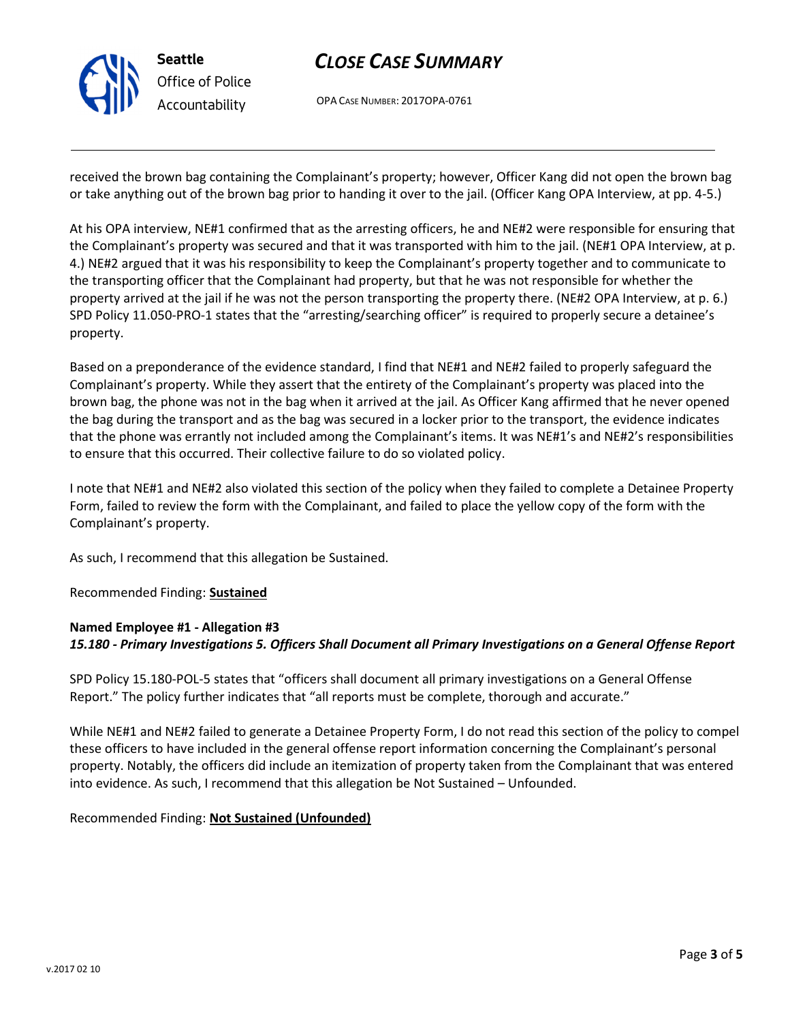

OPA CASE NUMBER: 2017OPA-0761

received the brown bag containing the Complainant's property; however, Officer Kang did not open the brown bag or take anything out of the brown bag prior to handing it over to the jail. (Officer Kang OPA Interview, at pp. 4-5.)

At his OPA interview, NE#1 confirmed that as the arresting officers, he and NE#2 were responsible for ensuring that the Complainant's property was secured and that it was transported with him to the jail. (NE#1 OPA Interview, at p. 4.) NE#2 argued that it was his responsibility to keep the Complainant's property together and to communicate to the transporting officer that the Complainant had property, but that he was not responsible for whether the property arrived at the jail if he was not the person transporting the property there. (NE#2 OPA Interview, at p. 6.) SPD Policy 11.050-PRO-1 states that the "arresting/searching officer" is required to properly secure a detainee's property.

Based on a preponderance of the evidence standard, I find that NE#1 and NE#2 failed to properly safeguard the Complainant's property. While they assert that the entirety of the Complainant's property was placed into the brown bag, the phone was not in the bag when it arrived at the jail. As Officer Kang affirmed that he never opened the bag during the transport and as the bag was secured in a locker prior to the transport, the evidence indicates that the phone was errantly not included among the Complainant's items. It was NE#1's and NE#2's responsibilities to ensure that this occurred. Their collective failure to do so violated policy.

I note that NE#1 and NE#2 also violated this section of the policy when they failed to complete a Detainee Property Form, failed to review the form with the Complainant, and failed to place the yellow copy of the form with the Complainant's property.

As such, I recommend that this allegation be Sustained.

Recommended Finding: Sustained

### Named Employee #1 - Allegation #3 15.180 - Primary Investigations 5. Officers Shall Document all Primary Investigations on a General Offense Report

SPD Policy 15.180-POL-5 states that "officers shall document all primary investigations on a General Offense Report." The policy further indicates that "all reports must be complete, thorough and accurate."

While NE#1 and NE#2 failed to generate a Detainee Property Form, I do not read this section of the policy to compel these officers to have included in the general offense report information concerning the Complainant's personal property. Notably, the officers did include an itemization of property taken from the Complainant that was entered into evidence. As such, I recommend that this allegation be Not Sustained – Unfounded.

Recommended Finding: Not Sustained (Unfounded)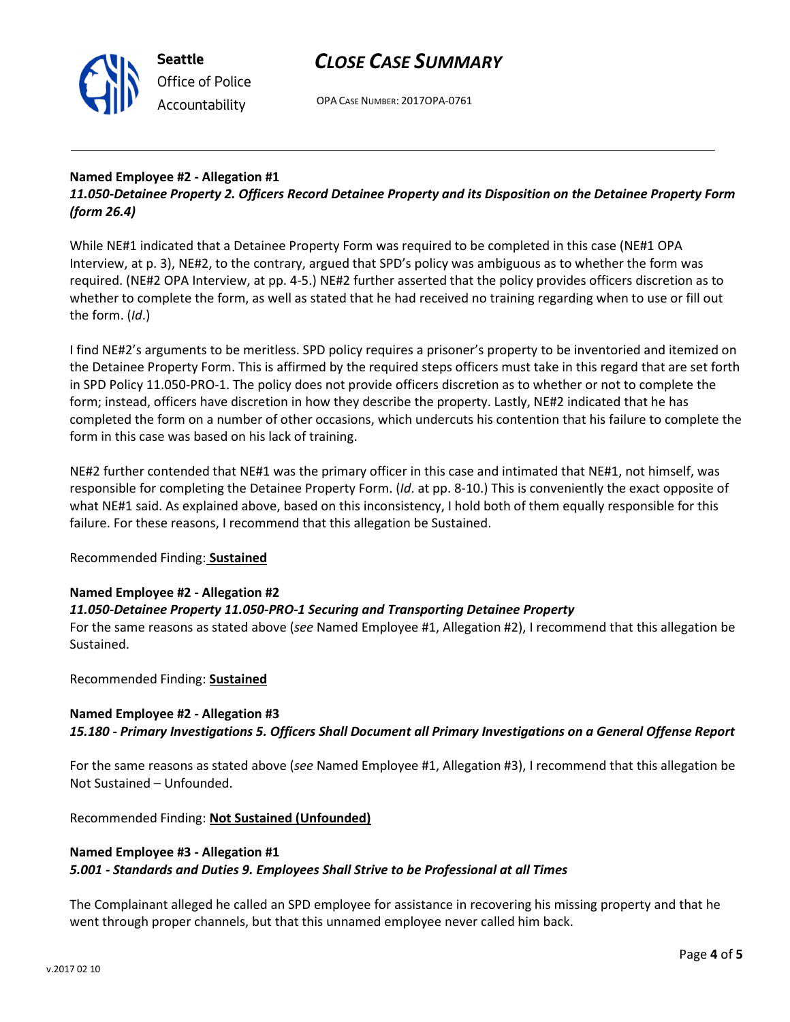

OPA CASE NUMBER: 2017OPA-0761

### Named Employee #2 - Allegation #1 11.050-Detainee Property 2. Officers Record Detainee Property and its Disposition on the Detainee Property Form (form 26.4)

While NE#1 indicated that a Detainee Property Form was required to be completed in this case (NE#1 OPA Interview, at p. 3), NE#2, to the contrary, argued that SPD's policy was ambiguous as to whether the form was required. (NE#2 OPA Interview, at pp. 4-5.) NE#2 further asserted that the policy provides officers discretion as to whether to complete the form, as well as stated that he had received no training regarding when to use or fill out the form. (Id.)

I find NE#2's arguments to be meritless. SPD policy requires a prisoner's property to be inventoried and itemized on the Detainee Property Form. This is affirmed by the required steps officers must take in this regard that are set forth in SPD Policy 11.050-PRO-1. The policy does not provide officers discretion as to whether or not to complete the form; instead, officers have discretion in how they describe the property. Lastly, NE#2 indicated that he has completed the form on a number of other occasions, which undercuts his contention that his failure to complete the form in this case was based on his lack of training.

NE#2 further contended that NE#1 was the primary officer in this case and intimated that NE#1, not himself, was responsible for completing the Detainee Property Form. (Id. at pp. 8-10.) This is conveniently the exact opposite of what NE#1 said. As explained above, based on this inconsistency, I hold both of them equally responsible for this failure. For these reasons, I recommend that this allegation be Sustained.

## Recommended Finding: Sustained

### Named Employee #2 - Allegation #2

### 11.050-Detainee Property 11.050-PRO-1 Securing and Transporting Detainee Property

For the same reasons as stated above (see Named Employee #1, Allegation #2), I recommend that this allegation be Sustained.

Recommended Finding: Sustained

### Named Employee #2 - Allegation #3

15.180 - Primary Investigations 5. Officers Shall Document all Primary Investigations on a General Offense Report

For the same reasons as stated above (see Named Employee #1, Allegation #3), I recommend that this allegation be Not Sustained – Unfounded.

Recommended Finding: Not Sustained (Unfounded)

### Named Employee #3 - Allegation #1 5.001 - Standards and Duties 9. Employees Shall Strive to be Professional at all Times

The Complainant alleged he called an SPD employee for assistance in recovering his missing property and that he went through proper channels, but that this unnamed employee never called him back.